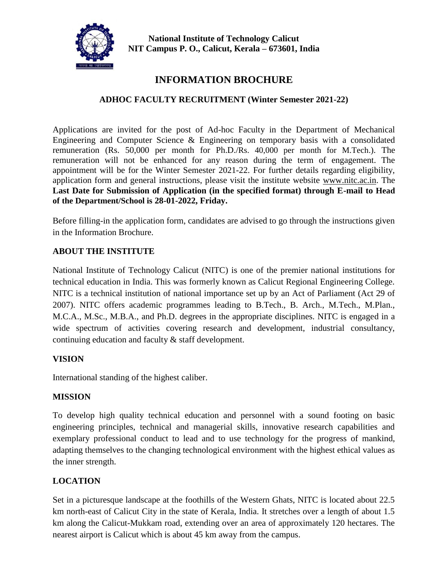

**National Institute of Technology Calicut NIT Campus P. O., Calicut, Kerala – 673601, India**

# **INFORMATION BROCHURE**

# **ADHOC FACULTY RECRUITMENT (Winter Semester 2021-22)**

Applications are invited for the post of Ad-hoc Faculty in the Department of Mechanical Engineering and Computer Science & Engineering on temporary basis with a consolidated remuneration (Rs. 50,000 per month for Ph.D./Rs. 40,000 per month for M.Tech.). The remuneration will not be enhanced for any reason during the term of engagement. The appointment will be for the Winter Semester 2021-22. For further details regarding eligibility, application form and general instructions, please visit the institute website [www.nitc.ac.in.](http://www.nitc.ac.in/) The **Last Date for Submission of Application (in the specified format) through E-mail to Head of the Department/School is 28-01-2022, Friday.**

Before filling-in the application form, candidates are advised to go through the instructions given in the Information Brochure.

## **ABOUT THE INSTITUTE**

National Institute of Technology Calicut (NITC) is one of the premier national institutions for technical education in India. This was formerly known as Calicut Regional Engineering College. NITC is a technical institution of national importance set up by an Act of Parliament (Act 29 of 2007). NITC offers academic programmes leading to B.Tech., B. Arch., M.Tech., M.Plan., M.C.A., M.Sc., M.B.A., and Ph.D. degrees in the appropriate disciplines. NITC is engaged in a wide spectrum of activities covering research and development, industrial consultancy, continuing education and faculty & staff development.

### **VISION**

International standing of the highest caliber.

### **MISSION**

To develop high quality technical education and personnel with a sound footing on basic engineering principles, technical and managerial skills, innovative research capabilities and exemplary professional conduct to lead and to use technology for the progress of mankind, adapting themselves to the changing technological environment with the highest ethical values as the inner strength.

### **LOCATION**

Set in a picturesque landscape at the foothills of the Western Ghats, NITC is located about 22.5 km north-east of Calicut City in the state of Kerala, India. It stretches over a length of about 1.5 km along the Calicut-Mukkam road, extending over an area of approximately 120 hectares. The nearest airport is Calicut which is about 45 km away from the campus.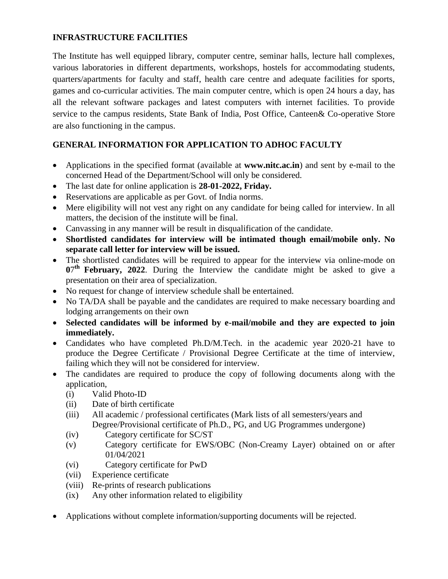### **INFRASTRUCTURE FACILITIES**

The Institute has well equipped library, computer centre, seminar halls, lecture hall complexes, various laboratories in different departments, workshops, hostels for accommodating students, quarters/apartments for faculty and staff, health care centre and adequate facilities for sports, games and co-curricular activities. The main computer centre, which is open 24 hours a day, has all the relevant software packages and latest computers with internet facilities. To provide service to the campus residents, State Bank of India, Post Office, Canteen& Co-operative Store are also functioning in the campus.

# **GENERAL INFORMATION FOR APPLICATION TO ADHOC FACULTY**

- Applications in the specified format (available at **www.nitc.ac.in**) and sent by e-mail to the concerned Head of the Department/School will only be considered.
- The last date for online application is **28-01-2022, Friday.**
- Reservations are applicable as per Govt. of India norms.
- Mere eligibility will not vest any right on any candidate for being called for interview. In all matters, the decision of the institute will be final.
- Canvassing in any manner will be result in disqualification of the candidate.
- **Shortlisted candidates for interview will be intimated though email/mobile only. No separate call letter for interview will be issued.**
- The shortlisted candidates will be required to appear for the interview via online-mode on 07<sup>th</sup> February, 2022. During the Interview the candidate might be asked to give a presentation on their area of specialization.
- No request for change of interview schedule shall be entertained.
- No TA/DA shall be payable and the candidates are required to make necessary boarding and lodging arrangements on their own
- **Selected candidates will be informed by e-mail/mobile and they are expected to join immediately.**
- Candidates who have completed Ph.D/M.Tech. in the academic year 2020-21 have to produce the Degree Certificate / Provisional Degree Certificate at the time of interview, failing which they will not be considered for interview.
- The candidates are required to produce the copy of following documents along with the application,
	- (i) Valid Photo-ID
	- (ii) Date of birth certificate
	- (iii) All academic / professional certificates (Mark lists of all semesters/years and Degree/Provisional certificate of Ph.D., PG, and UG Programmes undergone)
	- (iv) Category certificate for SC/ST
	- (v) Category certificate for EWS/OBC (Non-Creamy Layer) obtained on or after 01/04/2021
	- (vi) Category certificate for PwD
	- (vii) Experience certificate
	- (viii) Re-prints of research publications
	- (ix) Any other information related to eligibility
- Applications without complete information/supporting documents will be rejected.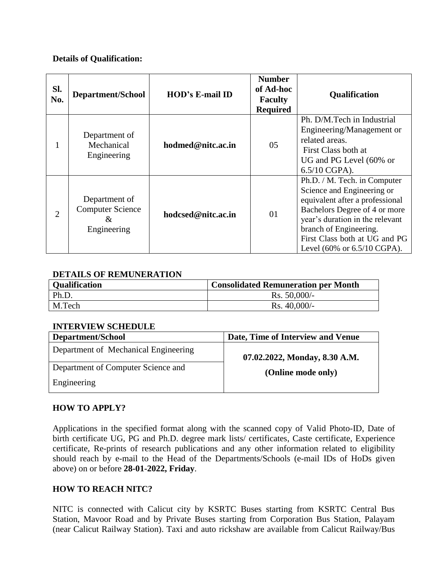### **Details of Qualification:**

| SI.<br>No.                  | <b>Department/School</b>                                     | <b>HOD's E-mail ID</b> | <b>Number</b><br>of Ad-hoc<br><b>Faculty</b><br><b>Required</b> | <b>Qualification</b>                                                                                                                                                                                                                                                            |
|-----------------------------|--------------------------------------------------------------|------------------------|-----------------------------------------------------------------|---------------------------------------------------------------------------------------------------------------------------------------------------------------------------------------------------------------------------------------------------------------------------------|
|                             | Department of<br>Mechanical<br>Engineering                   | hodmed@nitc.ac.in      | 05                                                              | Ph. D/M. Tech in Industrial<br>Engineering/Management or<br>related areas.<br>First Class both at<br>UG and PG Level (60% or<br>$6.5/10 \text{ CGPA}$ ).                                                                                                                        |
| $\mathcal{D}_{\mathcal{L}}$ | Department of<br><b>Computer Science</b><br>&<br>Engineering | hodcsed@nitc.ac.in     | 01                                                              | Ph.D. / M. Tech. in Computer<br>Science and Engineering or<br>equivalent after a professional<br>Bachelors Degree of 4 or more<br>year's duration in the relevant<br>branch of Engineering.<br>First Class both at UG and PG<br>Level $(60\% \text{ or } 6.5/10 \text{ CGPA}).$ |

## **DETAILS OF REMUNERATION**

| <b>Qualification</b> | <b>Consolidated Remuneration per Month</b> |
|----------------------|--------------------------------------------|
| Ph.D.                | $Rs. 50,000/$ -                            |
| M.Tech               | $Rs. 40,000/$ -                            |

### **INTERVIEW SCHEDULE**

| Department/School                    | Date, Time of Interview and Venue |
|--------------------------------------|-----------------------------------|
| Department of Mechanical Engineering | 07.02.2022, Monday, 8.30 A.M.     |
| Department of Computer Science and   | (Online mode only)                |
| Engineering                          |                                   |

### **HOW TO APPLY?**

Applications in the specified format along with the scanned copy of Valid Photo-ID, Date of birth certificate UG, PG and Ph.D. degree mark lists/ certificates, Caste certificate, Experience certificate, Re-prints of research publications and any other information related to eligibility should reach by e-mail to the Head of the Departments/Schools (e-mail IDs of HoDs given above) on or before **28-01-2022, Friday**.

### **HOW TO REACH NITC?**

NITC is connected with Calicut city by KSRTC Buses starting from KSRTC Central Bus Station, Mavoor Road and by Private Buses starting from Corporation Bus Station, Palayam (near Calicut Railway Station). Taxi and auto rickshaw are available from Calicut Railway/Bus